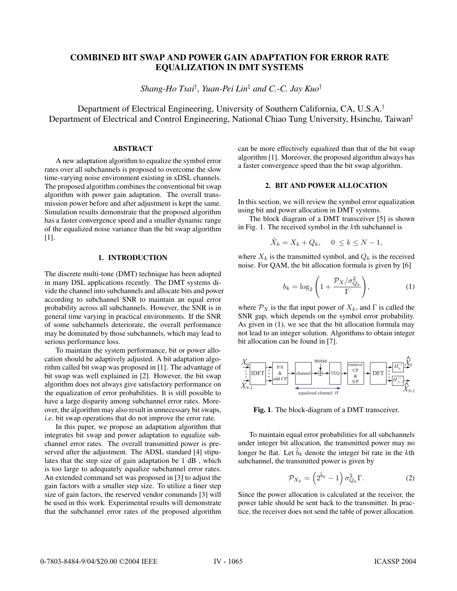# **COMBINED BIT SWAP AND POWER GAIN ADAPTATION FOR ERROR RATE EQUALIZATION IN DMT SYSTEMS**

*Shang-Ho Tsai*† *, Yuan-Pei Lin*‡ *and C.-C. Jay Kuo*†

Department of Electrical Engineering, University of Southern California, CA, U.S.A.† Department of Electrical and Control Engineering, National Chiao Tung University, Hsinchu, Taiwan‡

### **ABSTRACT**

A new adaptation algorithm to equalize the symbol error rates over all subchannels is proposed to overcome the slow time-varying noise environment existing in xDSL channels. The proposed algorithm combines the conventional bit swap algorithm with power gain adaptation. The overall transmission power before and after adjustment is kept the same. Simulation results demonstrate that the proposed algorithm has a faster convergence speed and a smaller dynamic range of the equalized noise variance than the bit swap algorithm [1].

## **1. INTRODUCTION**

The discrete multi-tone (DMT) technique has been adopted in many DSL applications recently. The DMT systems divide the channel into subchannels and allocate bits and power according to subchannel SNR to maintain an equal error probability across all subchannels. However, the SNR is in general time varying in practical environments. If the SNR of some subchannels deteriorate, the overall performance may be dominated by those subchannels, which may lead to serious performance loss.

To maintain the system performance, bit or power allocation should be adaptively adjusted. A bit adaptation algorithm called bit swap was proposed in [1]. The advantage of bit swap was well explained in [2]. However, the bit swap algorithm does not always give satisfactory performance on the equalization of error probabilities. It is still possible to have a large disparity among subchannel error rates. Moreover, the algorithm may also result in unnecessary bit swaps, *i.e.* bit swap operations that do not improve the error rate.

In this paper, we propose an adaptation algorithm that integrates bit swap and power adaptation to equalize subchannel error rates. The overall transmitted power is preserved after the adjustment. The ADSL standard [4] stipulates that the step size of gain adaptation be 1 dB , which is too large to adequately equalize subchannel error rates. An extended command set was proposed in [3] to adjust the gain factors with a smaller step size. To utilize a finer step size of gain factors, the reserved vendor commands [3] will be used in this work. Experimental results will demonstrate that the subchannel error rates of the proposed algorithm

can be more effectively equalized than that of the bit swap algorithm [1]. Moreover, the proposed algorithm always has a faster convergence speed than the bit swap algorithm.

# **2. BIT AND POWER ALLOCATION**

In this section, we will review the symbol error equalization using bit and power allocation in DMT systems.

The block diagram of a DMT transceiver [5] is shown in Fig. 1. The received symbol in the kth subchannel is

$$
\hat{X}_k = X_k + Q_k, \quad 0 \le k \le N - 1,
$$

where  $X_k$  is the transmitted symbol, and  $Q_k$  is the received noise. For QAM, the bit allocation formula is given by [6]

$$
b_k = \log_2\left(1 + \frac{\mathcal{P}_X/\sigma_{Q_k}^2}{\Gamma}\right),\tag{1}
$$

where  $\mathcal{P}_X$  is the flat input power of  $X_k$ , and  $\Gamma$  is called the SNR gap, which depends on the symbol error probability. As given in (1), we see that the bit allocation formula may not lead to an integer solution. Algorithms to obtain integer bit allocation can be found in [7].



**Fig. 1**. The block-diagram of a DMT transceiver.

To maintain equal error probabilities for all subchannels under integer bit allocation, the transmitted power may no longer be flat. Let  $b_k$  denote the integer bit rate in the kth subchannel, the transmitted power is given by

$$
\mathcal{P}_{X_k} = \left(2^{\tilde{b}_k} - 1\right) \sigma_{Q_k}^2 \Gamma. \tag{2}
$$

Since the power allocation is calculated at the receiver, the power table should be sent back to the transmitter. In practice, the receiver does not send the table of power allocation.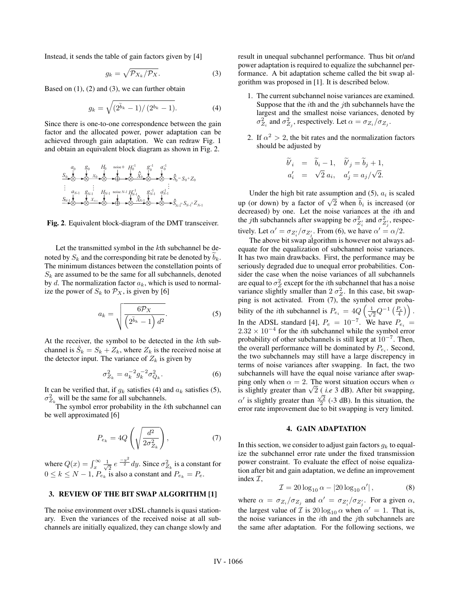Instead, it sends the table of gain factors given by [4]

$$
g_k = \sqrt{\mathcal{P}_{X_k}/\mathcal{P}_X}.\tag{3}
$$

Based on  $(1)$ ,  $(2)$  and  $(3)$ , we can further obtain

$$
g_k = \sqrt{\left(2^{\tilde{b}_k} - 1\right) / \left(2^{b_k} - 1\right)}.
$$
 (4)

Since there is one-to-one correspondence between the gain factor and the allocated power, power adaptation can be achieved through gain adaptation. We can redraw Fig. 1 and obtain an equivalent block diagram as shown in Fig. 2.

*X*0 *XN*-1 *X*0 *XN*-1 **^ ^** *H*0 *HN*-1 *H*0 *HN*-1 -1 -1 *g*0 *gN*-1 *a*0 *aN*-1 *g*0 *gN*-1 *a*0 *aN*-1 -1 -1 -1 -1 *S*0 *SN*-1 *S*0 *SN*-1 **^ ^** = *S*0 *SN*-1 <sup>=</sup> + + *Z*0 *ZN*-1 noise 0 noise *N-1*

**Fig. 2**. Equivalent block-diagram of the DMT transceiver.

Let the transmitted symbol in the kth subchannel be denoted by  $S_k$  and the corresponding bit rate be denoted by  $b_k$ . The minimum distances between the constellation points of  $S_k$  are assumed to be the same for all subchannels, denoted by d. The normalization factor  $a_k$ , which is used to normalize the power of  $S_k$  to  $\mathcal{P}_X$ , is given by [6]

$$
a_k = \sqrt{\frac{6\mathcal{P}_X}{\left(2^{\tilde{b}_k} - 1\right) d^2}}.\tag{5}
$$

At the receiver, the symbol to be detected in the kth subchannel is  $S_k = S_k + Z_k$ , where  $Z_k$  is the received noise at the detector input. The variance of  $Z_k$  is given by

$$
\sigma_{Z_k}^2 = a_k^{-2} g_k^{-2} \sigma_{Q_k}^2.
$$
 (6)

It can be verified that, if  $g_k$  satisfies (4) and  $a_k$  satisfies (5),  $\sigma_{Z_k}^2$  will be the same for all subchannels.<br>The symbol error probability in the *k*th subchannel can

be well approximated [6]

$$
P_{e_k} = 4Q\left(\sqrt{\frac{d^2}{2\sigma_{Z_k}^2}}\right),\tag{7}
$$

where  $Q(x) = \int_x^{\infty} \frac{1}{\sqrt{2}} e^{-\frac{y^2}{2}} dy$ . Since  $\sigma_{Z_k}^2$  is a constant for  $0 < k < N-1$   $P$  is also a constant and  $P = P$  $0 \leq k \leq N-1$ ,  $P_{e_k}$  is also a constant and  $P_{e_k} = P_e$ .

## **3. REVIEW OF THE BIT SWAP ALGORITHM [1]**

The noise environment over xDSL channels is quasi stationary. Even the variances of the received noise at all subchannels are initially equalized, they can change slowly and result in unequal subchannel performance. Thus bit or/and power adaptation is required to equalize the subchannel performance. A bit adaptation scheme called the bit swap algorithm was proposed in [1]. It is described below.

- 1. The current subchannel noise variances are examined. Suppose that the *i*th and the *j*th subchannels have the largest and the smallest noise variances, denoted by  $\sigma_{Z_i}^2$  and  $\sigma_{Z_j}^2$ , respectively. Let  $\alpha = \sigma_{Z_i}/\sigma_{Z_j}$ .
- 2. If  $\alpha^2 > 2$ , the bit rates and the normalization factors should be adjusted by

$$
\begin{aligned}\n\widetilde{b'}_i &= \widetilde{b}_i - 1, & \widetilde{b'}_j &= \widetilde{b}_j + 1, \\
a'_i &= \sqrt{2} a_i, & a'_j &= a_j/\sqrt{2}.\n\end{aligned}
$$

Under the high bit rate assumption and  $(5)$ ,  $a_i$  is scaled up (or down) by a factor of  $\sqrt{2}$  when  $b_i$  is increased (or decreased) by one. Let the noise variances at the ith and the *j*th subchannels after swapping be  $\sigma_{Z_i}^2$  and  $\sigma_{Z_j}^2$ , respectively. Let  $\alpha' = \sigma_{Z'_i}/\sigma_{Z'_j}$ . From (6), we have  $\alpha' = \alpha/2$ .<br>The above hit sure algorithm is bouwer not always

The above bit swap algorithm is however not always adequate for the equalization of subchannel noise variances. It has two main drawbacks. First, the performance may be seriously degraded due to unequal error probabilities. Consider the case when the noise variances of all subchannels are equal to  $\sigma_Z^2$  except for the *i*th subchannel that has a noise<br>variance slightly smaller than  $2 \sigma_Z^2$ . In this case, bit swanvariance slightly smaller than  $2\sigma_Z^2$ . In this case, bit swap-<br>ping is not activated. From (7) the symbol error probaping is not activated. From (7), the symbol error probability of the *i*th subchannel is  $P_{e_i} = 4Q \left( \frac{1}{\sqrt{2}} Q^{-1} \left( \frac{P_e}{4} \right) \right)$ . In the ADSL standard [4],  $P_e = 10^{-7}$ . We have  $P_{e_i} = 2.32 \times 10^{-4}$  for the *i*th subchannel while the symbol error  $2.32 \times 10^{-4}$  for the *i*th subchannel while the symbol error probability of other subchannels is still kept at  $10^{-7}$ . Then, the overall performance will be dominated by  $P_{e_i}$ . Second, the two subchannels may still have a large discrepency in terms of noise variances after swapping. In fact, the two subchannels will have the equal noise variance after swapping only when  $\alpha = 2$ . The worst situation occurs when  $\alpha$ is slightly greater than  $\sqrt{2}$  (*i.e* 3 dB). After bit swapping,  $\alpha'$  is slightly greater than  $\frac{\sqrt{2}}{2}$  (-3 dB). In this situation, the error rate improvement due to bit swapping is very limited.

## **4. GAIN ADAPTATION**

In this section, we consider to adjust gain factors  $g_k$  to equalize the subchannel error rate under the fixed transmission power constraint. To evaluate the effect of noise equalization after bit and gain adaptation, we define an improvement index I,

$$
\mathcal{I} = 20 \log_{10} \alpha - |20 \log_{10} \alpha'|, \tag{8}
$$

where  $\alpha = \sigma_{Z_i}/\sigma_{Z_j}$  and  $\alpha' = \sigma_{Z'_i}/\sigma_{Z'_j}$ . For a given  $\alpha$ ,<br>the legacy value of  $\tau$  is 20 leg as when  $\alpha' = 1$ . That is the largest value of  $\mathcal I$  is  $20 \log_{10} \alpha$  when  $\alpha' = 1$ . That is, the noise variances in the  $i$ th and the  $j$ th subchannels are the same after adaptation. For the following sections, we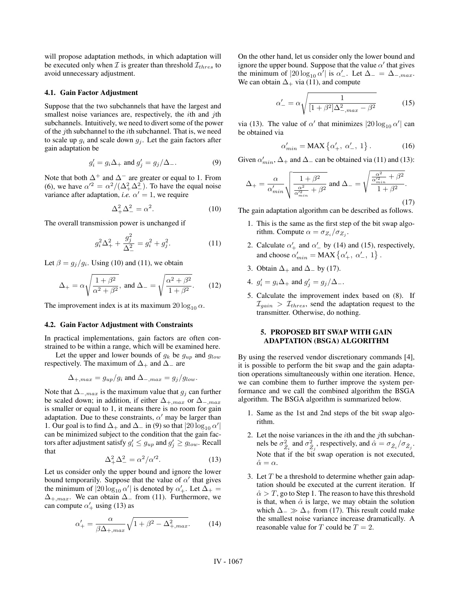will propose adaptation methods, in which adaptation will be executed only when  $\mathcal I$  is greater than threshold  $\mathcal I_{thres}$  to avoid unnecessary adjustment.

#### **4.1. Gain Factor Adjustment**

Suppose that the two subchannels that have the largest and smallest noise variances are, respectively, the *i*th and *j*th subchannels. Intuitively, we need to divert some of the power of the jth subchannel to the ith subchannel. That is, we need to scale up  $g_i$  and scale down  $g_j$ . Let the gain factors after gain adaptation be

$$
g_i' = g_i \Delta_+ \text{ and } g_j' = g_j / \Delta_-.
$$
 (9)

Note that both  $\Delta^+$  and  $\Delta^-$  are greater or equal to 1. From (6), we have  $\alpha'^2 = \alpha^2/(\Delta_+^2 \Delta_-^2)$ . To have the equal noise variance after adaptation  $i \epsilon_0 \alpha' = 1$  we require variance after adaptation, *i.e.*  $\alpha' = 1$ , we require

$$
\Delta_+^2 \Delta_-^2 = \alpha^2. \tag{10}
$$

The overall transmission power is unchanged if

$$
g_i^2 \Delta_+^2 + \frac{g_j^2}{\Delta_-^2} = g_i^2 + g_j^2. \tag{11}
$$

Let  $\beta = g_i/g_i$ . Using (10) and (11), we obtain

$$
\Delta_+ = \alpha \sqrt{\frac{1+\beta^2}{\alpha^2+\beta^2}}, \text{ and } \Delta_- = \sqrt{\frac{\alpha^2+\beta^2}{1+\beta^2}}. \tag{12}
$$

The improvement index is at its maximum  $20 \log_{10} \alpha$ .

# **4.2. Gain Factor Adjustment with Constraints**

In practical implementations, gain factors are often constrained to be within a range, which will be examined here.

Let the upper and lower bounds of  $g_k$  be  $g_{up}$  and  $g_{low}$ respectively. The maximum of  $\Delta_+$  and  $\Delta_-$  are

$$
\Delta_{+,max} = g_{up}/g_i \text{ and } \Delta_{-,max} = g_j/g_{low}.
$$

Note that  $\Delta_{-,max}$  is the maximum value that  $g_j$  can further be scaled down; in addition, if either  $\Delta_{+,max}$  or  $\Delta_{-,max}$ is smaller or equal to 1, it means there is no room for gain adaptation. Due to these constraints,  $\alpha'$  may be larger than 1. Our goal is to find  $\Delta_+$  and  $\Delta_-$  in (9) so that  $|20 \log_{10} \alpha'|$ <br>can be minimized subject to the condition that the gain faccan be minimized subject to the condition that the gain factors after adjustment satisfy  $g'_i \le g_{up}$  and  $g'_j \ge g_{low}$ . Recall that that

$$
\Delta_+^2 \Delta_-^2 = \alpha^2 / \alpha'^2. \tag{13}
$$

Let us consider only the upper bound and ignore the lower bound temporarily. Suppose that the value of  $\alpha'$  that gives the minimum of  $|20 \log_{10} \alpha'|$  is denoted by  $\alpha'_+$ . Let  $\Delta_+ = \Delta_+$  we can obtain  $\Delta_-$  from (11) Furthermore, we  $\Delta_{+,max}$ . We can obtain  $\Delta_{-}$  from (11). Furthermore, we can compute  $\alpha'_{+}$  using (13) as

$$
\alpha'_{+} = \frac{\alpha}{\beta \Delta_{+,max}} \sqrt{1 + \beta^2 - \Delta_{+,max}^2}.\tag{14}
$$

On the other hand, let us consider only the lower bound and ignore the upper bound. Suppose that the value  $\alpha'$  that gives the minimum of  $|20 \log_{10} \alpha'|$  is  $\alpha'$ . Let  $\Delta_- = \Delta_{-,max}$ .<br>We can obtain  $\Delta$ , via (11) and compute We can obtain  $\Delta_+$  via (11), and compute

$$
\alpha'_{-} = \alpha \sqrt{\frac{1}{[1 + \beta^2] \Delta_{-,max}^2 - \beta^2}}
$$
 (15)

via (13). The value of  $\alpha'$  that minimizes  $|20 \log_{10} \alpha'|$  can<br>be obtained via be obtained via

$$
\alpha'_{min} = \text{MAX} \left\{ \alpha'_+, \ \alpha'_-, \ 1 \right\}. \tag{16}
$$

Given  $\alpha'_{min}$ ,  $\Delta_+$  and  $\Delta_-$  can be obtained via (11) and (13):

$$
\Delta_{+} = \frac{\alpha}{\alpha'_{min}} \sqrt{\frac{1+\beta^2}{\frac{\alpha^2}{\alpha'_{min}} + \beta^2}} \text{ and } \Delta_{-} = \sqrt{\frac{\frac{\alpha^2}{\alpha'_{min}} + \beta^2}{1+\beta^2}}.
$$
\n(17)

The gain adaptation algorithm can be described as follows.

- 1. This is the same as the first step of the bit swap algorithm. Compute  $\alpha = \sigma_{Z_i}/\sigma_{Z_i}$ .
- 2. Calculate  $\alpha'_{+}$  and  $\alpha'_{-}$  by (14) and (15), respectively, and choose  $\alpha'_{min} = \text{MAX} \{ \alpha'_{+}, \ \alpha'_{-}, \ 1 \}.$
- 3. Obtain  $\Delta_+$  and  $\Delta_-$  by (17).
- 4.  $g'_i = g_i \Delta_+$  and  $g'_j = g_j/\Delta_-$ .
- 5. Calculate the improvement index based on (8). If  $\mathcal{I}_{gain} > \mathcal{I}_{thres}$ , send the adaptation request to the transmitter. Otherwise, do nothing.

# **5. PROPOSED BIT SWAP WITH GAIN ADAPTATION (BSGA) ALGORITHM**

By using the reserved vendor discretionary commands [4], it is possible to perform the bit swap and the gain adaptation operations simultaneously within one iteration. Hence, we can combine them to further improve the system performance and we call the combined algorithm the BSGA algorithm. The BSGA algorithm is summarized below.

- 1. Same as the 1st and 2nd steps of the bit swap algorithm.
- 2. Let the noise variances in the  $i$ th and the  $j$ th subchannels be  $\sigma_{\hat{Z}_i}^2$  and  $\sigma_{\hat{Z}_j}^2$ , respectively, and  $\hat{\alpha} = \sigma_{\hat{Z}_i}/\sigma_{\hat{Z}_j}$ .<br>Note that if the hit swap operation is not executed Note that if the bit swap operation is not executed,  $\hat{\alpha}=\alpha$ .
- 3. Let  $T$  be a threshold to determine whether gain adaptation should be executed at the current iteration. If  $\hat{\alpha} > T$ , go to Step 1. The reason to have this threshold is that, when  $\hat{\alpha}$  is large, we may obtain the solution which  $\Delta_-\gg\Delta_+$  from (17). This result could make the smallest noise variance increase dramatically. A reasonable value for T could be  $T = 2$ .